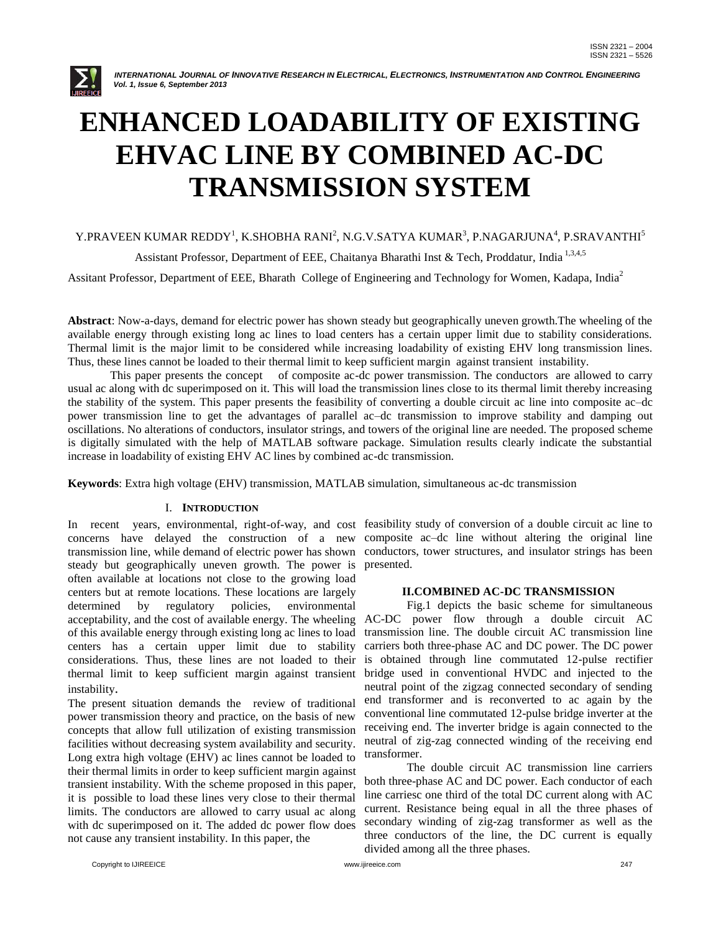

# **ENHANCED LOADABILITY OF EXISTING EHVAC LINE BY COMBINED AC-DC TRANSMISSION SYSTEM**

# Y.PRAVEEN KUMAR REDDY<sup>1</sup>, K.SHOBHA RANI<sup>2</sup>, N.G.V.SATYA KUMAR<sup>3</sup>, P.NAGARJUNA<sup>4</sup>, P.SRAVANTHI<sup>5</sup>

Assistant Professor, Department of EEE, Chaitanya Bharathi Inst & Tech, Proddatur, India<sup>1,3,4,5</sup>

Assitant Professor, Department of EEE, Bharath College of Engineering and Technology for Women, Kadapa, India<sup>2</sup>

**Abstract**: Now-a-days, demand for electric power has shown steady but geographically uneven growth.The wheeling of the available energy through existing long ac lines to load centers has a certain upper limit due to stability considerations. Thermal limit is the major limit to be considered while increasing loadability of existing EHV long transmission lines. Thus, these lines cannot be loaded to their thermal limit to keep sufficient margin against transient instability.

This paper presents the concept of composite ac-dc power transmission. The conductors are allowed to carry usual ac along with dc superimposed on it. This will load the transmission lines close to its thermal limit thereby increasing the stability of the system. This paper presents the feasibility of converting a double circuit ac line into composite ac–dc power transmission line to get the advantages of parallel ac–dc transmission to improve stability and damping out oscillations. No alterations of conductors, insulator strings, and towers of the original line are needed. The proposed scheme is digitally simulated with the help of MATLAB software package. Simulation results clearly indicate the substantial increase in loadability of existing EHV AC lines by combined ac-dc transmission.

**Keywords**: Extra high voltage (EHV) transmission, MATLAB simulation, simultaneous ac-dc transmission

#### I. **INTRODUCTION**

concerns have delayed the construction of a new composite ac–dc line without altering the original line transmission line, while demand of electric power has shown conductors, tower structures, and insulator strings has been steady but geographically uneven growth. The power is often available at locations not close to the growing load centers but at remote locations. These locations are largely determined by regulatory policies, environmental acceptability, and the cost of available energy. The wheeling AC-DC power flow through a double circuit AC of this available energy through existing long ac lines to load centers has a certain upper limit due to stability considerations. Thus, these lines are not loaded to their is obtained through line commutated 12-pulse rectifier thermal limit to keep sufficient margin against transient instability.

The present situation demands the review of traditional power transmission theory and practice, on the basis of new concepts that allow full utilization of existing transmission facilities without decreasing system availability and security. Long extra high voltage (EHV) ac lines cannot be loaded to their thermal limits in order to keep sufficient margin against transient instability. With the scheme proposed in this paper, it is possible to load these lines very close to their thermal limits. The conductors are allowed to carry usual ac along with dc superimposed on it. The added dc power flow does not cause any transient instability. In this paper, the

In recent years, environmental, right-of-way, and cost feasibility study of conversion of a double circuit ac line to presented.

#### **II.COMBINED AC-DC TRANSMISSION**

Fig.1 depicts the basic scheme for simultaneous transmission line. The double circuit AC transmission line carriers both three-phase AC and DC power. The DC power bridge used in conventional HVDC and injected to the neutral point of the zigzag connected secondary of sending end transformer and is reconverted to ac again by the conventional line commutated 12-pulse bridge inverter at the receiving end. The inverter bridge is again connected to the neutral of zig-zag connected winding of the receiving end transformer.

The double circuit AC transmission line carriers both three-phase AC and DC power. Each conductor of each line carriesc one third of the total DC current along with AC current. Resistance being equal in all the three phases of secondary winding of zig-zag transformer as well as the three conductors of the line, the DC current is equally divided among all the three phases.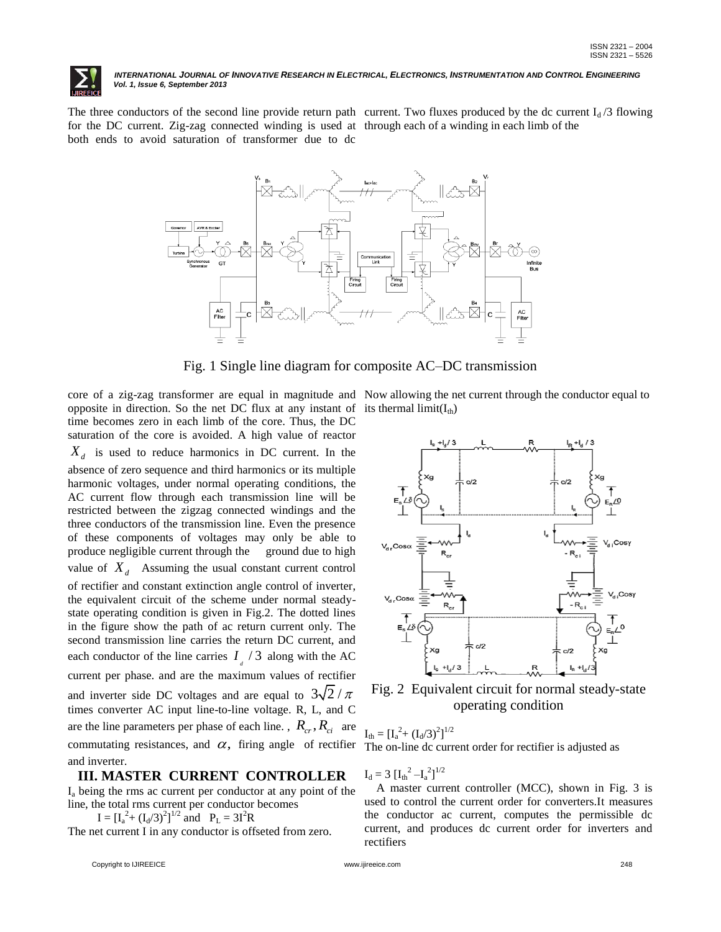

The three conductors of the second line provide return path current. Two fluxes produced by the dc current  $I_d/3$  flowing for the DC current. Zig-zag connected winding is used at through each of a winding in each limb of the both ends to avoid saturation of transformer due to dc



Fig. 1 Single line diagram for composite AC–DC transmission

core of a zig-zag transformer are equal in magnitude and Now allowing the net current through the conductor equal to opposite in direction. So the net DC flux at any instant of its thermal  $limit(I_{th})$ time becomes zero in each limb of the core. Thus, the DC saturation of the core is avoided. A high value of reactor *Xd* is used to reduce harmonics in DC current. In the absence of zero sequence and third harmonics or its multiple harmonic voltages, under normal operating conditions, the AC current flow through each transmission line will be restricted between the zigzag connected windings and the three conductors of the transmission line. Even the presence of these components of voltages may only be able to produce negligible current through the ground due to high value of  $X_d$  Assuming the usual constant current control of rectifier and constant extinction angle control of inverter, the equivalent circuit of the scheme under normal steadystate operating condition is given in Fig.2. The dotted lines in the figure show the path of ac return current only. The second transmission line carries the return DC current, and each conductor of the line carries  $I_{d}$  / 3 along with the AC current per phase. and are the maximum values of rectifier and inverter side DC voltages and are equal to  $3\sqrt{2}/\pi$ times converter AC input line-to-line voltage. R, L, and C are the line parameters per phase of each line. ,  $R_{cr}$ ,  $R_{ci}$  are commutating resistances, and  $\alpha$ , firing angle of rectifier and inverter.

# **III. MASTER CURRENT CONTROLLER**

 $I<sub>a</sub>$  being the rms ac current per conductor at any point of the line, the total rms current per conductor becomes

 $I = [I_a^2 + (I_d/3)^2]^{1/2}$  and  $P_L = 3I^2R$ 

The net current I in any conductor is offseted from zero.



Fig. 2 Equivalent circuit for normal steady-state operating condition

 $I_{\text{th}} = [I_{\text{a}}^2 + (I_{\text{d}}/3)^2]^{1/2}$ The on-line dc current order for rectifier is adjusted as

 $I_d = 3 \left[I_{th}^{2} - I_a^{2}\right]^{1/2}$ 

 A master current controller (MCC), shown in Fig. 3 is used to control the current order for converters.It measures the conductor ac current, computes the permissible dc current, and produces dc current order for inverters and rectifiers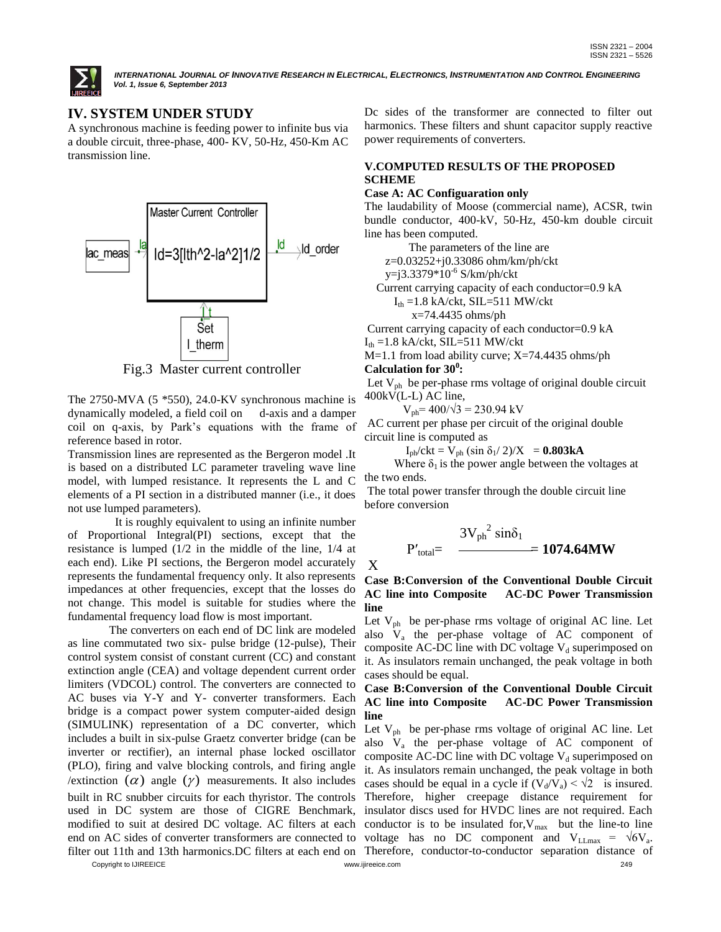

# **IV. SYSTEM UNDER STUDY**

A synchronous machine is feeding power to infinite bus via a double circuit, three-phase, 400- KV, 50-Hz, 450-Km AC transmission line.



Fig.3 Master current controller

The 2750-MVA (5 \*550), 24.0-KV synchronous machine is dynamically modeled, a field coil on d-axis and a damper coil on q-axis, by Park's equations with the frame of reference based in rotor.

Transmission lines are represented as the Bergeron model .It is based on a distributed LC parameter traveling wave line model, with lumped resistance. It represents the L and C elements of a PI section in a distributed manner (i.e., it does not use lumped parameters).

 It is roughly equivalent to using an infinite number of Proportional Integral(PI) sections, except that the resistance is lumped (1/2 in the middle of the line, 1/4 at each end). Like PI sections, the Bergeron model accurately represents the fundamental frequency only. It also represents impedances at other frequencies, except that the losses do not change. This model is suitable for studies where the fundamental frequency load flow is most important.

 The converters on each end of DC link are modeled as line commutated two six- pulse bridge (12-pulse), Their control system consist of constant current (CC) and constant extinction angle (CEA) and voltage dependent current order limiters (VDCOL) control. The converters are connected to AC buses via Y-Y and Y- converter transformers. Each bridge is a compact power system computer-aided design (SIMULINK) representation of a DC converter, which includes a built in six-pulse Graetz converter bridge (can be inverter or rectifier), an internal phase locked oscillator (PLO), firing and valve blocking controls, and firing angle /extinction  $(\alpha)$  angle  $(\gamma)$  measurements. It also includes built in RC snubber circuits for each thyristor. The controls used in DC system are those of CIGRE Benchmark, modified to suit at desired DC voltage. AC filters at each end on AC sides of converter transformers are connected to

Dc sides of the transformer are connected to filter out harmonics. These filters and shunt capacitor supply reactive power requirements of converters.

# **V.COMPUTED RESULTS OF THE PROPOSED SCHEME**

#### **Case A: AC Configuaration only**

The laudability of Moose (commercial name), ACSR, twin bundle conductor, 400-kV, 50-Hz, 450-km double circuit line has been computed.

The parameters of the line are

z=0.03252+j0.33086 ohm/km/ph/ckt

y=j3.3379\*10-6 S/km/ph/ckt

Current carrying capacity of each conductor=0.9 kA

 $I_{th} = 1.8$  kA/ckt, SIL=511 MW/ckt

x=74.4435 ohms/ph

Current carrying capacity of each conductor=0.9 kA

 $I_{th} = 1.8$  kA/ckt, SIL=511 MW/ckt

M=1.1 from load ability curve; X=74.4435 ohms/ph **Calculation for 30<sup>0</sup> :**

Let  $V_{ph}$  be per-phase rms voltage of original double circuit 400kV(L-L) AC line,

$$
V_{\text{ph}} = 400/\sqrt{3} = 230.94 \text{ kV}
$$

AC current per phase per circuit of the original double circuit line is computed as

 $I_{ph}/ckt = V_{ph} (\sin \delta_1/2)/X = 0.803kA$ 

Where  $\delta_1$  is the power angle between the voltages at the two ends.

The total power transfer through the double circuit line before conversion

$$
P'_{total} = \frac{3V_{ph}^2 \sin\delta_1}{\frac{1074.64MW}{}
$$

X

# **Case B:Conversion of the Conventional Double Circuit AC line into Composite AC-DC Power Transmission line**

Let  $V_{ph}$  be per-phase rms voltage of original AC line. Let also V<sub>a</sub> the per-phase voltage of AC component of composite AC-DC line with DC voltage  $V_d$  superimposed on it. As insulators remain unchanged, the peak voltage in both cases should be equal.

#### **Case B:Conversion of the Conventional Double Circuit AC line into Composite AC-DC Power Transmission line**

filter out 11th and 13th harmonics.DC filters at each end on Therefore, conductor-to-conductor separation distance of Let  $V_{ph}$  be per-phase rms voltage of original AC line. Let also V<sub>a</sub> the per-phase voltage of AC component of composite AC-DC line with DC voltage  $V_d$  superimposed on it. As insulators remain unchanged, the peak voltage in both cases should be equal in a cycle if  $(V_d/V_a) < \sqrt{2}$  is insured. Therefore, higher creepage distance requirement for insulator discs used for HVDC lines are not required. Each conductor is to be insulated for,  $V_{\text{max}}$  but the line-to line voltage has no DC component and  $V_{LLmax} = \sqrt{6}V_{a}$ .

Copyright to IJIREEICE www.ijireeice.com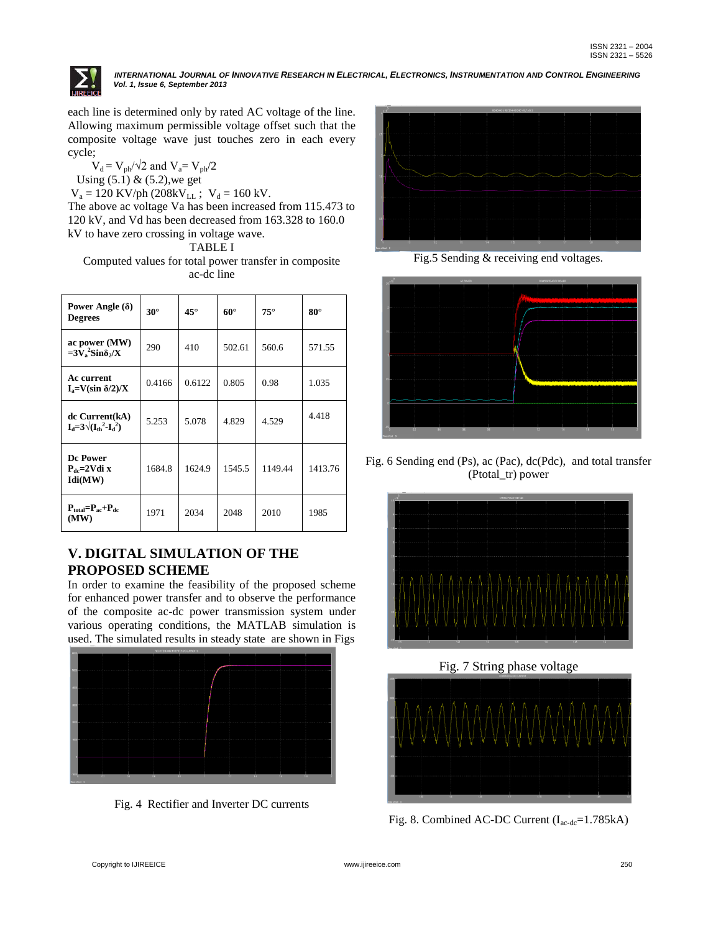

each line is determined only by rated AC voltage of the line. Allowing maximum permissible voltage offset such that the composite voltage wave just touches zero in each every cycle;

 $V_d = V_{ph}/\sqrt{2}$  and  $V_a = V_{ph}/2$ Using  $(5.1)$  &  $(5.2)$ , we get

 $V_a = 120$  KV/ph (208kV<sub>LL</sub>;  $V_d = 160$  kV. The above ac voltage Va has been increased from 115.473 to 120 kV, and Vd has been decreased from 163.328 to 160.0 kV to have zero crossing in voltage wave.

TABLE I

Computed values for total power transfer in composite ac-dc line

| Power Angle $(\delta)$<br><b>Degrees</b>             | $30^\circ$ | $45^{\circ}$ | $60^\circ$ | $75^\circ$ | $80^\circ$ |
|------------------------------------------------------|------------|--------------|------------|------------|------------|
| ac power (MW)<br>$=3V_a^2 \sin{\delta_2} / X$        | 290        | 410          | 502.61     | 560.6      | 571.55     |
| Ac current<br>$I_a = V(\sin \delta/2)/X$             | 0.4166     | 0.6122       | 0.805      | 0.98       | 1.035      |
| dc Current(kA)<br>$I_d = 3\sqrt{(I_{th}^2 - I_d^2)}$ | 5.253      | 5.078        | 4.829      | 4.529      | 4.418      |
| Dc Power<br>$P_{dc} = 2Vdi x$<br>Idi(MW)             | 1684.8     | 1624.9       | 1545.5     | 1149.44    | 1413.76    |
| $P_{total} = P_{ac} + P_{dc}$<br>(MW)                | 1971       | 2034         | 2048       | 2010       | 1985       |

# **V. DIGITAL SIMULATION OF THE PROPOSED SCHEME**

In order to examine the feasibility of the proposed scheme for enhanced power transfer and to observe the performance of the composite ac-dc power transmission system under various operating conditions, the MATLAB simulation is used. The simulated results in steady state are shown in Figs



Fig. 4 Rectifier and Inverter DC currents



Fig.5 Sending & receiving end voltages.



Fig. 6 Sending end (Ps), ac (Pac), dc(Pdc), and total transfer (Ptotal\_tr) power



Fig. 7 String phase voltage



Fig. 8. Combined AC-DC Current (I<sub>ac-dc</sub>=1.785kA)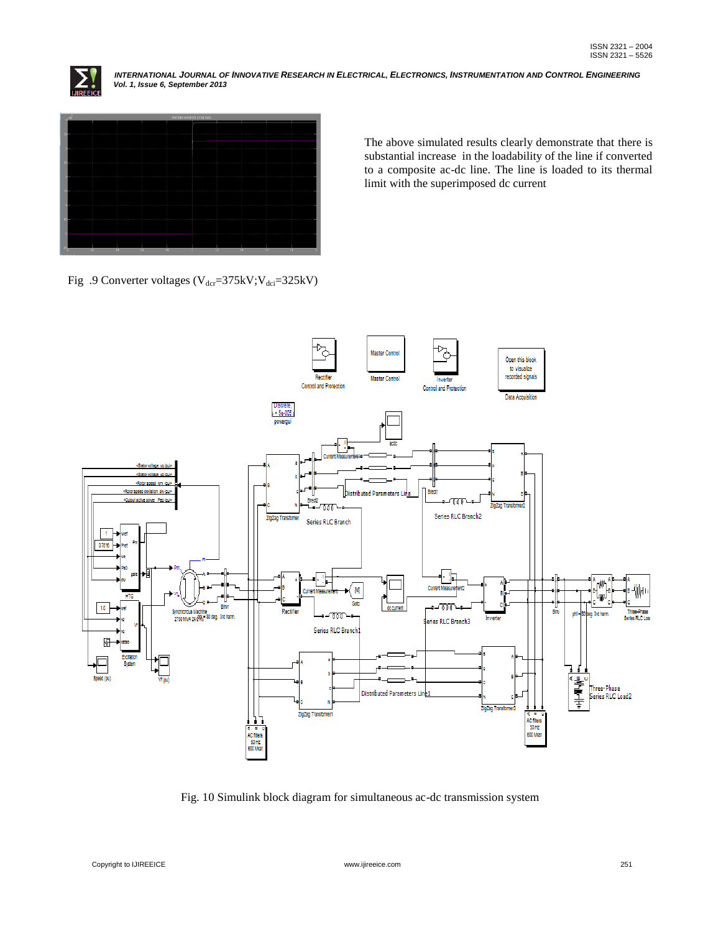



The above simulated results clearly demonstrate that there is substantial increase in the loadability of the line if converted to a composite ac-dc line. The line is loaded to its thermal limit with the superimposed dc current

Fig .9 Converter voltages ( $V_{\text{der}}=375kV$ ;  $V_{\text{det}}=325kV$ )



Fig. 10 Simulink block diagram for simultaneous ac-dc transmission system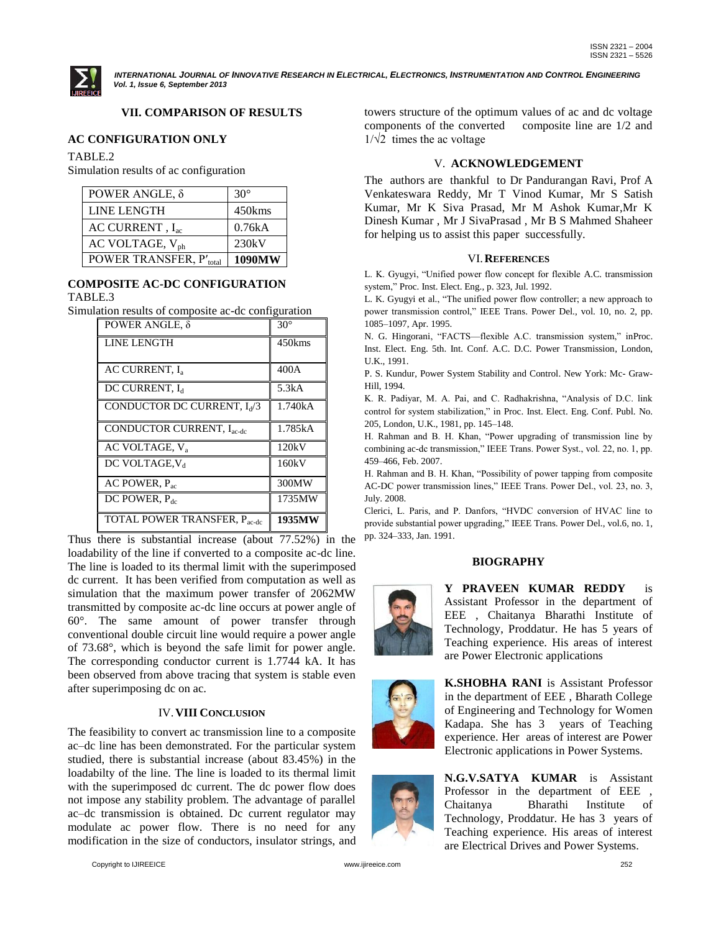

# **VII. COMPARISON OF RESULTS**

## **AC CONFIGURATION ONLY**

TABLE.2

Simulation results of ac configuration

| POWER ANGLE, $\delta$       | $30^\circ$ |
|-----------------------------|------------|
| LINE LENGTH                 | 450kms     |
| AC CURRENT, $I_{ac}$        | 0.76kA     |
| AC VOLTAGE, V <sub>ph</sub> | 230kV      |
| POWER TRANSFER, P'total     | 1090MW     |

## **COMPOSITE AC-DC CONFIGURATION** TABLE.3

Simulation results of composite ac-dc configuration

| POWER ANGLE, $\delta$                   | $30^\circ$ |
|-----------------------------------------|------------|
| <b>LINE LENGTH</b>                      | 450kms     |
|                                         |            |
| <b>AC CURRENT, I.</b>                   | 400A       |
| DC CURRENT, I <sub>d</sub>              | 5.3kA      |
| CONDUCTOR DC CURRENT, I <sub>d</sub> /3 | 1.740kA    |
| <b>CONDUCTOR CURRENT, Inc.</b> -de      | 1.785kA    |
| AC VOLTAGE, V <sub>a</sub>              | 120kV      |
| DC VOLTAGE, V <sub>d</sub>              | 160kV      |
| AC POWER, $P_{ac}$                      | 300MW      |
| DC POWER, $P_{dc}$                      | 1735MW     |
| <b>TOTAL POWER TRANSFER, Pacedo</b>     | 1935MW     |

Thus there is substantial increase (about 77.52%) in the loadability of the line if converted to a composite ac-dc line. The line is loaded to its thermal limit with the superimposed dc current. It has been verified from computation as well as simulation that the maximum power transfer of 2062MW transmitted by composite ac-dc line occurs at power angle of 60°. The same amount of power transfer through conventional double circuit line would require a power angle of 73.68°, which is beyond the safe limit for power angle. The corresponding conductor current is 1.7744 kA. It has been observed from above tracing that system is stable even after superimposing dc on ac.

# IV.**VIII CONCLUSION**

The feasibility to convert ac transmission line to a composite ac–dc line has been demonstrated. For the particular system studied, there is substantial increase (about 83.45%) in the loadabilty of the line. The line is loaded to its thermal limit with the superimposed dc current. The dc power flow does not impose any stability problem. The advantage of parallel ac–dc transmission is obtained. Dc current regulator may modulate ac power flow. There is no need for any modification in the size of conductors, insulator strings, and

towers structure of the optimum values of ac and dc voltage components of the converted composite line are 1/2 and  $1/\sqrt{2}$  times the ac voltage

#### V. **ACKNOWLEDGEMENT**

The authors are thankful to Dr Pandurangan Ravi, Prof A Venkateswara Reddy, Mr T Vinod Kumar, Mr S Satish Kumar, Mr K Siva Prasad, Mr M Ashok Kumar,Mr K Dinesh Kumar , Mr J SivaPrasad , Mr B S Mahmed Shaheer for helping us to assist this paper successfully.

#### VI.**REFERENCES**

L. K. Gyugyi, "Unified power flow concept for flexible A.C. transmission system," Proc. Inst. Elect. Eng., p. 323, Jul. 1992.

L. K. Gyugyi et al., "The unified power flow controller; a new approach to power transmission control," IEEE Trans. Power Del., vol. 10, no. 2, pp. 1085–1097, Apr. 1995.

N. G. Hingorani, "FACTS—flexible A.C. transmission system," inProc. Inst. Elect. Eng. 5th. Int. Conf. A.C. D.C. Power Transmission, London, U.K., 1991.

P. S. Kundur, Power System Stability and Control. New York: Mc- Graw-Hill, 1994.

K. R. Padiyar, M. A. Pai, and C. Radhakrishna, "Analysis of D.C. link control for system stabilization," in Proc. Inst. Elect. Eng. Conf. Publ. No. 205, London, U.K., 1981, pp. 145–148.

H. Rahman and B. H. Khan, "Power upgrading of transmission line by combining ac-dc transmission," IEEE Trans. Power Syst., vol. 22, no. 1, pp. 459–466, Feb. 2007.

H. Rahman and B. H. Khan, "Possibility of power tapping from composite AC-DC power transmission lines," IEEE Trans. Power Del., vol. 23, no. 3, July. 2008.

Clerici, L. Paris, and P. Danfors, "HVDC conversion of HVAC line to provide substantial power upgrading," IEEE Trans. Power Del., vol.6, no. 1, pp. 324–333, Jan. 1991.

# **BIOGRAPHY**



**Y PRAVEEN KUMAR REDDY** is Assistant Professor in the department of EEE , Chaitanya Bharathi Institute of Technology, Proddatur. He has 5 years of Teaching experience. His areas of interest are Power Electronic applications



**K.SHOBHA RANI** is Assistant Professor in the department of EEE , Bharath College of Engineering and Technology for Women Kadapa. She has 3 years of Teaching experience. Her areas of interest are Power Electronic applications in Power Systems.

**N.G.V.SATYA KUMAR** is Assistant Professor in the department of EEE, Chaitanya Bharathi Institute of Technology, Proddatur. He has 3 years of Teaching experience. His areas of interest are Electrical Drives and Power Systems.